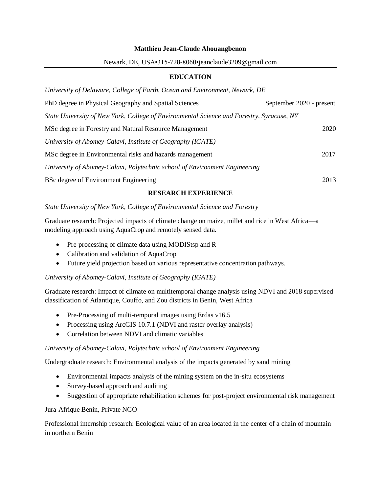#### **Matthieu Jean-Claude Ahouangbenon**

#### Newark, DE, USA•315-728-8060•jeanclaude3209@gmail.com

# **EDUCATION**

| University of Delaware, College of Earth, Ocean and Environment, Newark, DE               |                          |
|-------------------------------------------------------------------------------------------|--------------------------|
| PhD degree in Physical Geography and Spatial Sciences                                     | September 2020 - present |
| State University of New York, College of Environmental Science and Forestry, Syracuse, NY |                          |
| MSc degree in Forestry and Natural Resource Management                                    | 2020                     |
| University of Abomey-Calavi, Institute of Geography (IGATE)                               |                          |
| MSc degree in Environmental risks and hazards management                                  | 2017                     |
| University of Abomey-Calavi, Polytechnic school of Environment Engineering                |                          |
| BSc degree of Environment Engineering                                                     | 2013                     |

## **RESEARCH EXPERIENCE**

## *State University of New York, College of Environmental Science and Forestry*

Graduate research: Projected impacts of climate change on maize, millet and rice in West Africa—a modeling approach using AquaCrop and remotely sensed data.

- Pre-processing of climate data using MODIStsp and R
- Calibration and validation of AquaCrop
- Future yield projection based on various representative concentration pathways.

## *University of Abomey-Calavi, Institute of Geography (IGATE)*

Graduate research: Impact of climate on multitemporal change analysis using NDVI and 2018 supervised classification of Atlantique, Couffo, and Zou districts in Benin, West Africa

- Pre-Processing of multi-temporal images using Erdas v16.5
- Processing using ArcGIS 10.7.1 (NDVI and raster overlay analysis)
- Correlation between NDVI and climatic variables

## *University of Abomey-Calavi, Polytechnic school of Environment Engineering*

Undergraduate research: Environmental analysis of the impacts generated by sand mining

- Environmental impacts analysis of the mining system on the in-situ ecosystems
- Survey-based approach and auditing
- Suggestion of appropriate rehabilitation schemes for post-project environmental risk management

## Jura-Afrique Benin, Private NGO

Professional internship research: Ecological value of an area located in the center of a chain of mountain in northern Benin